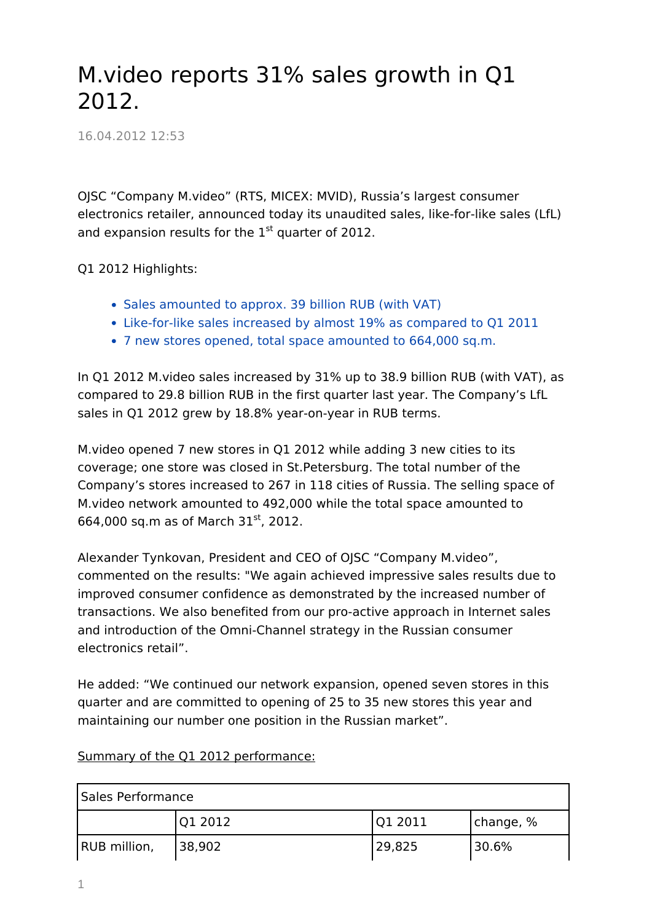## M.video reports 31% sales growth in Q1 2012.

16.04.2012 12:53

OJSC "Company M.video" (RTS, MICEX: MVID), Russia's largest consumer electronics retailer, announced today its unaudited sales, like-for-like sales (LfL) and expansion results for the  $1<sup>st</sup>$  quarter of 2012.

Q1 2012 Highlights:

- Sales amounted to approx. 39 billion RUB (with VAT)
- Like-for-like sales increased by almost 19% as compared to Q1 2011
- 7 new stores opened, total space amounted to 664,000 sq.m.

In Q1 2012 M.video sales increased by 31% up to 38.9 billion RUB (with VAT), as compared to 29.8 billion RUB in the first quarter last year. The Company's LfL sales in Q1 2012 grew by 18.8% year-on-year in RUB terms.

M.video opened 7 new stores in Q1 2012 while adding 3 new cities to its coverage; one store was closed in St.Petersburg. The total number of the Company's stores increased to 267 in 118 cities of Russia. The selling space of M.video network amounted to 492,000 while the total space amounted to 664,000 sq.m as of March  $31^{st}$ , 2012.

Alexander Tynkovan, President and CEO of OJSC "Company M.video", commented on the results: "We again achieved impressive sales results due to improved consumer confidence as demonstrated by the increased number of transactions. We also benefited from our pro-active approach in Internet sales and introduction of the Omni-Channel strategy in the Russian consumer electronics retail".

He added: "We continued our network expansion, opened seven stores in this quarter and are committed to opening of 25 to 35 new stores this year and maintaining our number one position in the Russian market".

| <b>Sales Performance</b> |         |         |           |  |  |
|--------------------------|---------|---------|-----------|--|--|
|                          | Q1 2012 | Q1 2011 | change, % |  |  |
| RUB million,             | 38,902  | 29,825  | 30.6%     |  |  |

## Summary of the Q1 2012 performance: